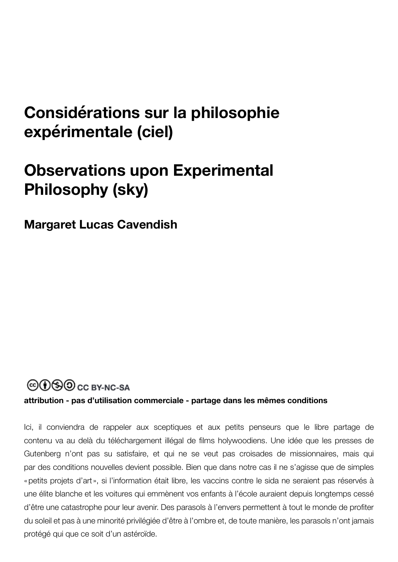### **Considérations sur la philosophie expérimentale (ciel)**

# **Observations upon Experimental Philosophy (sky)**

**Margaret Lucas Cavendish**

### ©1690 CC BY-NC-SA

#### **attribution - pas d'utilisation commerciale - partage dans les mêmes conditions**

Ici, il conviendra de rappeler aux sceptiques et aux petits penseurs que le libre partage de contenu va au delà du téléchargement illégal de films holywoodiens. Une idée que les presses de Gutenberg n'ont pas su satisfaire, et qui ne se veut pas croisades de missionnaires, mais qui par des conditions nouvelles devient possible. Bien que dans notre cas il ne s'agisse que de simples «petits projets d'art », si l'information était libre, les vaccins contre le sida ne seraient pas réservés à une élite blanche et les voitures qui emmènent vos enfants à l'école auraient depuis longtemps cessé d'être une catastrophe pour leur avenir. Des parasols à l'envers permettent à tout le monde de profiter du soleil et pas à une minorité privilégiée d'être à l'ombre et, de toute manière, les parasols n'ont jamais protégé qui que ce soit d'un astéroïde.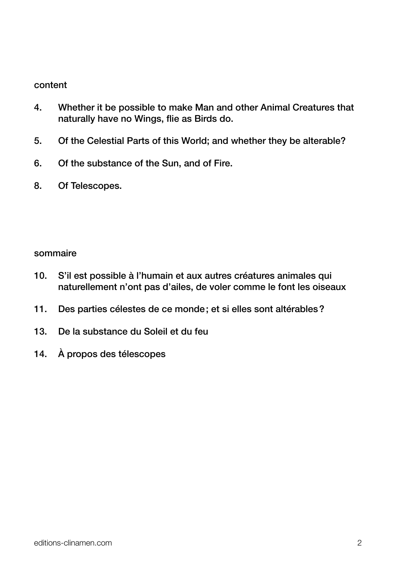#### content

- 4. Whether it be possible to make Man and other Animal Creatures that naturally have no Wings, flie as Birds do.
- 5. Of the Celestial Parts of this World; and whether they be alterable?
- 6. Of the substance of the Sun, and of Fire.
- 8. Of Telescopes.

#### sommaire

- 10. S'il est possible à l'humain et aux autres créatures animales qui naturellement n'ont pas d'ailes, de voler comme le font les oiseaux
- 11. Des parties célestes de ce monde; et si elles sont altérables?
- 13. De la substance du Soleil et du feu
- 14. À propos des télescopes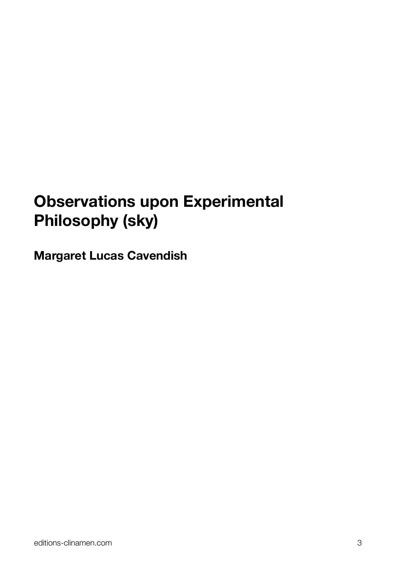# **Observations upon Experimental Philosophy (sky)**

**Margaret Lucas Cavendish**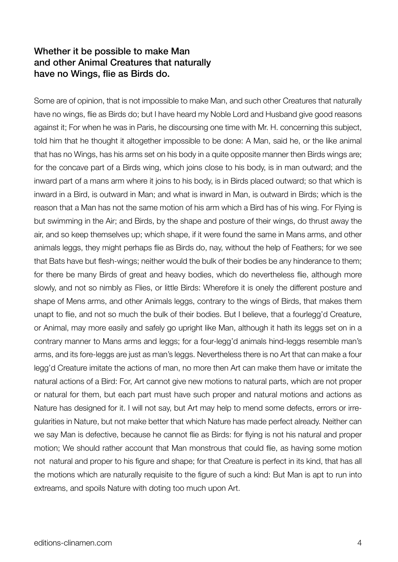#### Whether it be possible to make Man and other Animal Creatures that naturally have no Wings, flie as Birds do.

Some are of opinion, that is not impossible to make Man, and such other Creatures that naturally have no wings, flie as Birds do; but I have heard my Noble Lord and Husband give good reasons against it; For when he was in Paris, he discoursing one time with Mr. H. concerning this subject, told him that he thought it altogether impossible to be done: A Man, said he, or the like animal that has no Wings, has his arms set on his body in a quite opposite manner then Birds wings are; for the concave part of a Birds wing, which joins close to his body, is in man outward; and the inward part of a mans arm where it joins to his body, is in Birds placed outward; so that which is inward in a Bird, is outward in Man; and what is inward in Man, is outward in Birds; which is the reason that a Man has not the same motion of his arm which a Bird has of his wing. For Flying is but swimming in the Air; and Birds, by the shape and posture of their wings, do thrust away the air, and so keep themselves up; which shape, if it were found the same in Mans arms, and other animals leggs, they might perhaps flie as Birds do, nay, without the help of Feathers; for we see that Bats have but flesh-wings; neither would the bulk of their bodies be any hinderance to them; for there be many Birds of great and heavy bodies, which do nevertheless flie, although more slowly, and not so nimbly as Flies, or little Birds: Wherefore it is onely the different posture and shape of Mens arms, and other Animals leggs, contrary to the wings of Birds, that makes them unapt to flie, and not so much the bulk of their bodies. But I believe, that a fourlegg'd Creature, or Animal, may more easily and safely go upright like Man, although it hath its leggs set on in a contrary manner to Mans arms and leggs; for a four-legg'd animals hind-leggs resemble man's arms, and its fore-leggs are just as man's leggs. Nevertheless there is no Art that can make a four legg'd Creature imitate the actions of man, no more then Art can make them have or imitate the natural actions of a Bird: For, Art cannot give new motions to natural parts, which are not proper or natural for them, but each part must have such proper and natural motions and actions as Nature has designed for it. I will not say, but Art may help to mend some defects, errors or irregularities in Nature, but not make better that which Nature has made perfect already. Neither can we say Man is defective, because he cannot flie as Birds: for flying is not his natural and proper motion; We should rather account that Man monstrous that could flie, as having some motion not natural and proper to his figure and shape; for that Creature is perfect in its kind, that has all the motions which are naturally requisite to the figure of such a kind: But Man is apt to run into extreams, and spoils Nature with doting too much upon Art.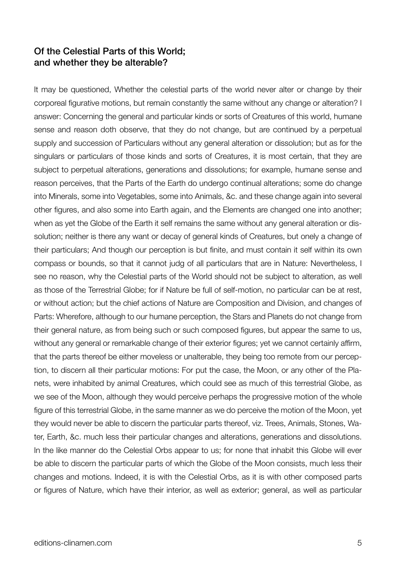#### Of the Celestial Parts of this World; and whether they be alterable?

It may be questioned, Whether the celestial parts of the world never alter or change by their corporeal figurative motions, but remain constantly the same without any change or alteration? I answer: Concerning the general and particular kinds or sorts of Creatures of this world, humane sense and reason doth observe, that they do not change, but are continued by a perpetual supply and succession of Particulars without any general alteration or dissolution; but as for the singulars or particulars of those kinds and sorts of Creatures, it is most certain, that they are subject to perpetual alterations, generations and dissolutions; for example, humane sense and reason perceives, that the Parts of the Earth do undergo continual alterations; some do change into Minerals, some into Vegetables, some into Animals, &c. and these change again into several other figures, and also some into Earth again, and the Elements are changed one into another; when as yet the Globe of the Earth it self remains the same without any general alteration or dissolution; neither is there any want or decay of general kinds of Creatures, but onely a change of their particulars; And though our perception is but finite, and must contain it self within its own compass or bounds, so that it cannot judg of all particulars that are in Nature: Nevertheless, I see no reason, why the Celestial parts of the World should not be subject to alteration, as well as those of the Terrestrial Globe; for if Nature be full of self-motion, no particular can be at rest, or without action; but the chief actions of Nature are Composition and Division, and changes of Parts: Wherefore, although to our humane perception, the Stars and Planets do not change from their general nature, as from being such or such composed figures, but appear the same to us, without any general or remarkable change of their exterior figures; yet we cannot certainly affirm, that the parts thereof be either moveless or unalterable, they being too remote from our perception, to discern all their particular motions: For put the case, the Moon, or any other of the Planets, were inhabited by animal Creatures, which could see as much of this terrestrial Globe, as we see of the Moon, although they would perceive perhaps the progressive motion of the whole figure of this terrestrial Globe, in the same manner as we do perceive the motion of the Moon, yet they would never be able to discern the particular parts thereof, viz. Trees, Animals, Stones, Water, Earth, &c. much less their particular changes and alterations, generations and dissolutions. In the like manner do the Celestial Orbs appear to us; for none that inhabit this Globe will ever be able to discern the particular parts of which the Globe of the Moon consists, much less their changes and motions. Indeed, it is with the Celestial Orbs, as it is with other composed parts or figures of Nature, which have their interior, as well as exterior; general, as well as particular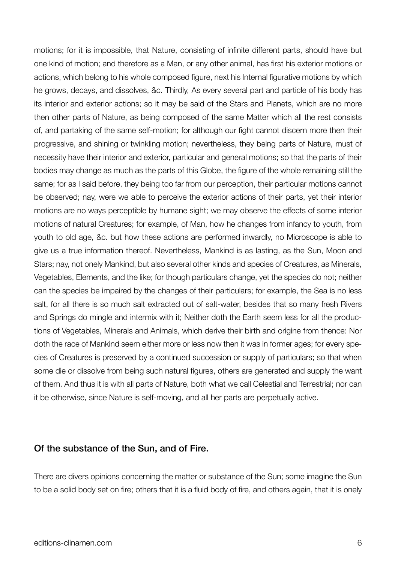motions; for it is impossible, that Nature, consisting of infinite different parts, should have but one kind of motion; and therefore as a Man, or any other animal, has first his exterior motions or actions, which belong to his whole composed figure, next his Internal figurative motions by which he grows, decays, and dissolves, &c. Thirdly, As every several part and particle of his body has its interior and exterior actions; so it may be said of the Stars and Planets, which are no more then other parts of Nature, as being composed of the same Matter which all the rest consists of, and partaking of the same self-motion; for although our fight cannot discern more then their progressive, and shining or twinkling motion; nevertheless, they being parts of Nature, must of necessity have their interior and exterior, particular and general motions; so that the parts of their bodies may change as much as the parts of this Globe, the figure of the whole remaining still the same; for as I said before, they being too far from our perception, their particular motions cannot be observed; nay, were we able to perceive the exterior actions of their parts, yet their interior motions are no ways perceptible by humane sight; we may observe the effects of some interior motions of natural Creatures; for example, of Man, how he changes from infancy to youth, from youth to old age, &c. but how these actions are performed inwardly, no Microscope is able to give us a true information thereof. Nevertheless, Mankind is as lasting, as the Sun, Moon and Stars; nay, not onely Mankind, but also several other kinds and species of Creatures, as Minerals, Vegetables, Elements, and the like; for though particulars change, yet the species do not; neither can the species be impaired by the changes of their particulars; for example, the Sea is no less salt, for all there is so much salt extracted out of salt-water, besides that so many fresh Rivers and Springs do mingle and intermix with it; Neither doth the Earth seem less for all the productions of Vegetables, Minerals and Animals, which derive their birth and origine from thence: Nor doth the race of Mankind seem either more or less now then it was in former ages; for every species of Creatures is preserved by a continued succession or supply of particulars; so that when some die or dissolve from being such natural figures, others are generated and supply the want of them. And thus it is with all parts of Nature, both what we call Celestial and Terrestrial; nor can it be otherwise, since Nature is self-moving, and all her parts are perpetually active.

#### Of the substance of the Sun, and of Fire.

There are divers opinions concerning the matter or substance of the Sun; some imagine the Sun to be a solid body set on fire; others that it is a fluid body of fire, and others again, that it is onely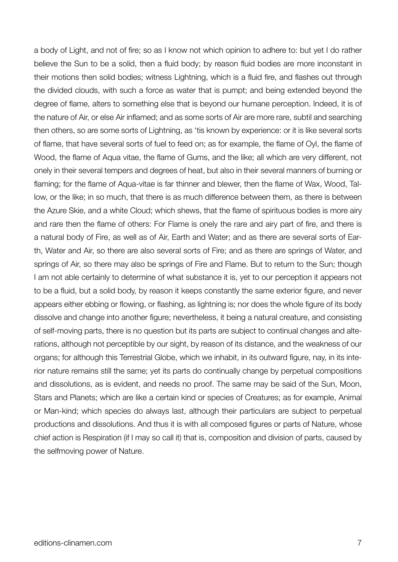a body of Light, and not of fire; so as I know not which opinion to adhere to: but yet I do rather believe the Sun to be a solid, then a fluid body; by reason fluid bodies are more inconstant in their motions then solid bodies; witness Lightning, which is a fluid fire, and flashes out through the divided clouds, with such a force as water that is pumpt; and being extended beyond the degree of flame, alters to something else that is beyond our humane perception. Indeed, it is of the nature of Air, or else Air inflamed; and as some sorts of Air are more rare, subtil and searching then others, so are some sorts of Lightning, as 'tis known by experience: or it is like several sorts of flame, that have several sorts of fuel to feed on; as for example, the flame of Oyl, the flame of Wood, the flame of Aqua vitae, the flame of Gums, and the like; all which are very different, not onely in their several tempers and degrees of heat, but also in their several manners of burning or flaming; for the flame of Aqua-vitae is far thinner and blewer, then the flame of Wax, Wood, Tallow, or the like; in so much, that there is as much difference between them, as there is between the Azure Skie, and a white Cloud; which shews, that the flame of spirituous bodies is more airy and rare then the flame of others: For Flame is onely the rare and airy part of fire, and there is a natural body of Fire, as well as of Air, Earth and Water; and as there are several sorts of Earth, Water and Air, so there are also several sorts of Fire; and as there are springs of Water, and springs of Air, so there may also be springs of Fire and Flame. But to return to the Sun; though I am not able certainly to determine of what substance it is, yet to our perception it appears not to be a fluid, but a solid body, by reason it keeps constantly the same exterior figure, and never appears either ebbing or flowing, or flashing, as lightning is; nor does the whole figure of its body dissolve and change into another figure; nevertheless, it being a natural creature, and consisting of self-moving parts, there is no question but its parts are subject to continual changes and alterations, although not perceptible by our sight, by reason of its distance, and the weakness of our organs; for although this Terrestrial Globe, which we inhabit, in its outward figure, nay, in its interior nature remains still the same; yet its parts do continually change by perpetual compositions and dissolutions, as is evident, and needs no proof. The same may be said of the Sun, Moon, Stars and Planets; which are like a certain kind or species of Creatures; as for example, Animal or Man-kind; which species do always last, although their particulars are subject to perpetual productions and dissolutions. And thus it is with all composed figures or parts of Nature, whose chief action is Respiration (if I may so call it) that is, composition and division of parts, caused by the selfmoving power of Nature.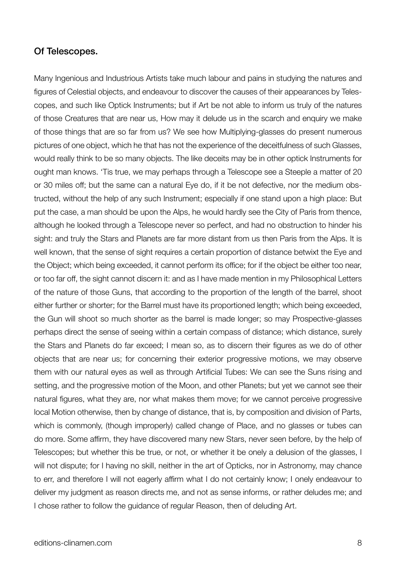#### Of Telescopes.

Many Ingenious and Industrious Artists take much labour and pains in studying the natures and figures of Celestial objects, and endeavour to discover the causes of their appearances by Telescopes, and such like Optick Instruments; but if Art be not able to inform us truly of the natures of those Creatures that are near us, How may it delude us in the scarch and enquiry we make of those things that are so far from us? We see how Multiplying-glasses do present numerous pictures of one object, which he that has not the experience of the deceitfulness of such Glasses, would really think to be so many objects. The like deceits may be in other optick Instruments for ought man knows. 'Tis true, we may perhaps through a Telescope see a Steeple a matter of 20 or 30 miles off; but the same can a natural Eye do, if it be not defective, nor the medium obstructed, without the help of any such Instrument; especially if one stand upon a high place: But put the case, a man should be upon the Alps, he would hardly see the City of Paris from thence, although he looked through a Telescope never so perfect, and had no obstruction to hinder his sight: and truly the Stars and Planets are far more distant from us then Paris from the Alps. It is well known, that the sense of sight requires a certain proportion of distance betwixt the Eye and the Object; which being exceeded, it cannot perform its office; for if the object be either too near, or too far off, the sight cannot discern it: and as I have made mention in my Philosophical Letters of the nature of those Guns, that according to the proportion of the length of the barrel, shoot either further or shorter; for the Barrel must have its proportioned length; which being exceeded, the Gun will shoot so much shorter as the barrel is made longer; so may Prospective-glasses perhaps direct the sense of seeing within a certain compass of distance; which distance, surely the Stars and Planets do far exceed; I mean so, as to discern their figures as we do of other objects that are near us; for concerning their exterior progressive motions, we may observe them with our natural eyes as well as through Artificial Tubes: We can see the Suns rising and setting, and the progressive motion of the Moon, and other Planets; but yet we cannot see their natural figures, what they are, nor what makes them move; for we cannot perceive progressive local Motion otherwise, then by change of distance, that is, by composition and division of Parts, which is commonly, (though improperly) called change of Place, and no glasses or tubes can do more. Some affirm, they have discovered many new Stars, never seen before, by the help of Telescopes; but whether this be true, or not, or whether it be onely a delusion of the glasses, I will not dispute; for I having no skill, neither in the art of Opticks, nor in Astronomy, may chance to err, and therefore I will not eagerly affirm what I do not certainly know; I onely endeavour to deliver my judgment as reason directs me, and not as sense informs, or rather deludes me; and I chose rather to follow the guidance of regular Reason, then of deluding Art.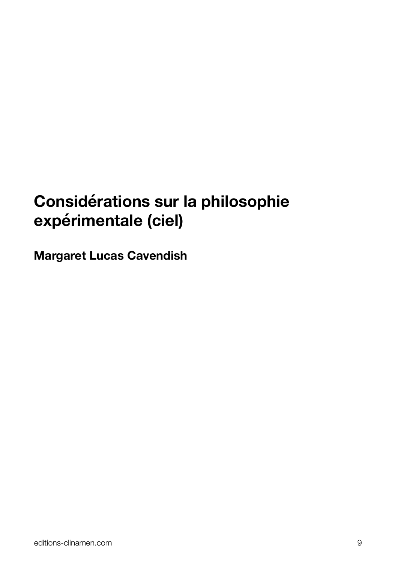## **Considérations sur la philosophie expérimentale (ciel)**

**Margaret Lucas Cavendish**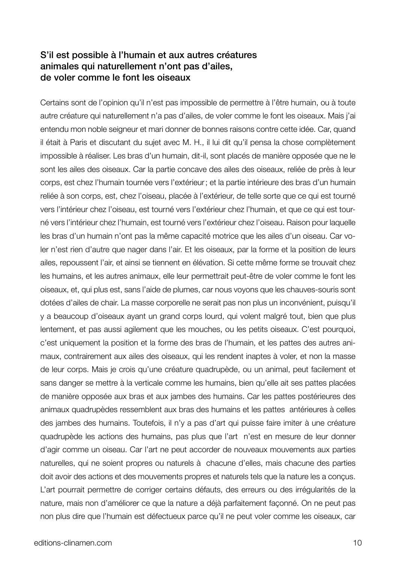#### S'il est possible à l'humain et aux autres créatures animales qui naturellement n'ont pas d'ailes, de voler comme le font les oiseaux

Certains sont de l'opinion qu'il n'est pas impossible de permettre à l'être humain, ou à toute autre créature qui naturellement n'a pas d'ailes, de voler comme le font les oiseaux. Mais j'ai entendu mon noble seigneur et mari donner de bonnes raisons contre cette idée. Car, quand il était à Paris et discutant du sujet avec M. H., il lui dit qu'il pensa la chose complètement impossible à réaliser. Les bras d'un humain, dit-il, sont placés de manière opposée que ne le sont les ailes des oiseaux. Car la partie concave des ailes des oiseaux, reliée de près à leur corps, est chez l'humain tournée vers l'extérieur; et la partie intérieure des bras d'un humain reliée à son corps, est, chez l'oiseau, placée à l'extérieur, de telle sorte que ce qui est tourné vers l'intérieur chez l'oiseau, est tourné vers l'extérieur chez l'humain, et que ce qui est tourné vers l'intérieur chez l'humain, est tourné vers l'extérieur chez l'oiseau. Raison pour laquelle les bras d'un humain n'ont pas la même capacité motrice que les ailes d'un oiseau. Car voler n'est rien d'autre que nager dans l'air. Et les oiseaux, par la forme et la position de leurs ailes, repoussent l'air, et ainsi se tiennent en élévation. Si cette même forme se trouvait chez les humains, et les autres animaux, elle leur permettrait peut-être de voler comme le font les oiseaux, et, qui plus est, sans l'aide de plumes, car nous voyons que les chauves-souris sont dotées d'ailes de chair. La masse corporelle ne serait pas non plus un inconvénient, puisqu'il y a beaucoup d'oiseaux ayant un grand corps lourd, qui volent malgré tout, bien que plus lentement, et pas aussi agilement que les mouches, ou les petits oiseaux. C'est pourquoi, c'est uniquement la position et la forme des bras de l'humain, et les pattes des autres animaux, contrairement aux ailes des oiseaux, qui les rendent inaptes à voler, et non la masse de leur corps. Mais je crois qu'une créature quadrupède, ou un animal, peut facilement et sans danger se mettre à la verticale comme les humains, bien qu'elle ait ses pattes placées de manière opposée aux bras et aux jambes des humains. Car les pattes postérieures des animaux quadrupèdes ressemblent aux bras des humains et les pattes antérieures à celles des jambes des humains. Toutefois, il n'y a pas d'art qui puisse faire imiter à une créature quadrupède les actions des humains, pas plus que l'art n'est en mesure de leur donner d'agir comme un oiseau. Car l'art ne peut accorder de nouveaux mouvements aux parties naturelles, qui ne soient propres ou naturels à chacune d'elles, mais chacune des parties doit avoir des actions et des mouvements propres et naturels tels que la nature les a conçus. L'art pourrait permettre de corriger certains défauts, des erreurs ou des irrégularités de la nature, mais non d'améliorer ce que la nature a déjà parfaitement façonné. On ne peut pas non plus dire que l'humain est défectueux parce qu'il ne peut voler comme les oiseaux, car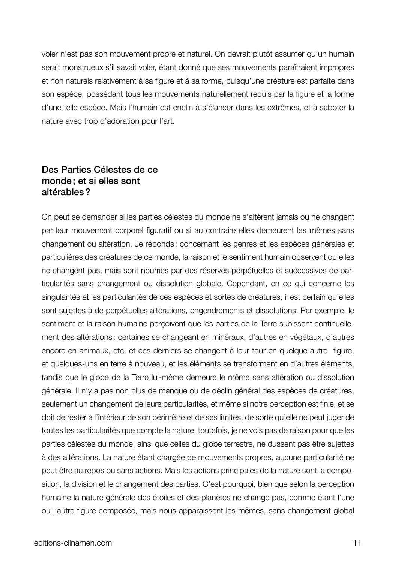voler n'est pas son mouvement propre et naturel. On devrait plutôt assumer qu'un humain serait monstrueux s'il savait voler, étant donné que ses mouvements paraîtraient impropres et non naturels relativement à sa figure et à sa forme, puisqu'une créature est parfaite dans son espèce, possédant tous les mouvements naturellement requis par la figure et la forme d'une telle espèce. Mais l'humain est enclin à s'élancer dans les extrêmes, et à saboter la nature avec trop d'adoration pour l'art.

#### Des Parties Célestes de ce monde; et si elles sont altérables?

On peut se demander si les parties célestes du monde ne s'altèrent jamais ou ne changent par leur mouvement corporel figuratif ou si au contraire elles demeurent les mêmes sans changement ou altération. Je réponds : concernant les genres et les espèces générales et particulières des créatures de ce monde, la raison et le sentiment humain observent qu'elles ne changent pas, mais sont nourries par des réserves perpétuelles et successives de particularités sans changement ou dissolution globale. Cependant, en ce qui concerne les singularités et les particularités de ces espèces et sortes de créatures, il est certain qu'elles sont sujettes à de perpétuelles altérations, engendrements et dissolutions. Par exemple, le sentiment et la raison humaine perçoivent que les parties de la Terre subissent continuellement des altérations : certaines se changeant en minéraux, d'autres en végétaux, d'autres encore en animaux, etc. et ces derniers se changent à leur tour en quelque autre figure, et quelques-uns en terre à nouveau, et les éléments se transforment en d'autres éléments, tandis que le globe de la Terre lui-même demeure le même sans altération ou dissolution générale. Il n'y a pas non plus de manque ou de déclin général des espèces de créatures, seulement un changement de leurs particularités, et même si notre perception est finie, et se doit de rester à l'intérieur de son périmètre et de ses limites, de sorte qu'elle ne peut juger de toutes les particularités que compte la nature, toutefois, je ne vois pas de raison pour que les parties célestes du monde, ainsi que celles du globe terrestre, ne dussent pas être sujettes à des altérations. La nature étant chargée de mouvements propres, aucune particularité ne peut être au repos ou sans actions. Mais les actions principales de la nature sont la composition, la division et le changement des parties. C'est pourquoi, bien que selon la perception humaine la nature générale des étoiles et des planètes ne change pas, comme étant l'une ou l'autre figure composée, mais nous apparaissent les mêmes, sans changement global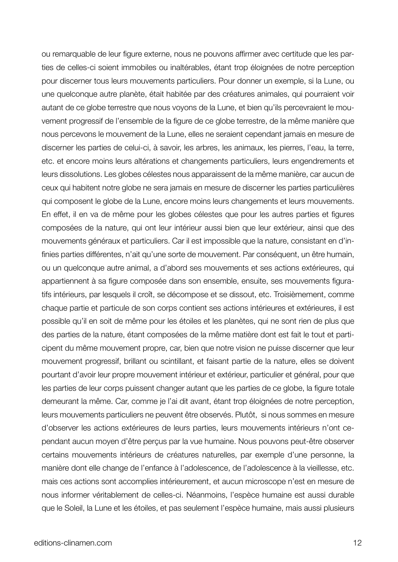ou remarquable de leur figure externe, nous ne pouvons affirmer avec certitude que les parties de celles-ci soient immobiles ou inaltérables, étant trop éloignées de notre perception pour discerner tous leurs mouvements particuliers. Pour donner un exemple, si la Lune, ou une quelconque autre planète, était habitée par des créatures animales, qui pourraient voir autant de ce globe terrestre que nous voyons de la Lune, et bien qu'ils percevraient le mouvement progressif de l'ensemble de la figure de ce globe terrestre, de la même manière que nous percevons le mouvement de la Lune, elles ne seraient cependant jamais en mesure de discerner les parties de celui-ci, à savoir, les arbres, les animaux, les pierres, l'eau, la terre, etc. et encore moins leurs altérations et changements particuliers, leurs engendrements et leurs dissolutions. Les globes célestes nous apparaissent de la même manière, car aucun de ceux qui habitent notre globe ne sera jamais en mesure de discerner les parties particulières qui composent le globe de la Lune, encore moins leurs changements et leurs mouvements. En effet, il en va de même pour les globes célestes que pour les autres parties et figures composées de la nature, qui ont leur intérieur aussi bien que leur extérieur, ainsi que des mouvements généraux et particuliers. Car il est impossible que la nature, consistant en d'infinies parties différentes, n'ait qu'une sorte de mouvement. Par conséquent, un être humain, ou un quelconque autre animal, a d'abord ses mouvements et ses actions extérieures, qui appartiennent à sa figure composée dans son ensemble, ensuite, ses mouvements figuratifs intérieurs, par lesquels il croît, se décompose et se dissout, etc. Troisièmement, comme chaque partie et particule de son corps contient ses actions intérieures et extérieures, il est possible qu'il en soit de même pour les étoiles et les planètes, qui ne sont rien de plus que des parties de la nature, étant composées de la même matière dont est fait le tout et participent du même mouvement propre, car, bien que notre vision ne puisse discerner que leur mouvement progressif, brillant ou scintillant, et faisant partie de la nature, elles se doivent pourtant d'avoir leur propre mouvement intérieur et extérieur, particulier et général, pour que les parties de leur corps puissent changer autant que les parties de ce globe, la figure totale demeurant la même. Car, comme je l'ai dit avant, étant trop éloignées de notre perception, leurs mouvements particuliers ne peuvent être observés. Plutôt, si nous sommes en mesure d'observer les actions extérieures de leurs parties, leurs mouvements intérieurs n'ont cependant aucun moyen d'être perçus par la vue humaine. Nous pouvons peut-être observer certains mouvements intérieurs de créatures naturelles, par exemple d'une personne, la manière dont elle change de l'enfance à l'adolescence, de l'adolescence à la vieillesse, etc. mais ces actions sont accomplies intérieurement, et aucun microscope n'est en mesure de nous informer véritablement de celles-ci. Néanmoins, l'espèce humaine est aussi durable que le Soleil, la Lune et les étoiles, et pas seulement l'espèce humaine, mais aussi plusieurs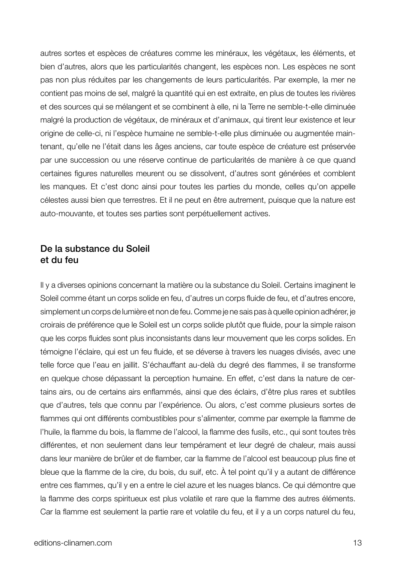autres sortes et espèces de créatures comme les minéraux, les végétaux, les éléments, et bien d'autres, alors que les particularités changent, les espèces non. Les espèces ne sont pas non plus réduites par les changements de leurs particularités. Par exemple, la mer ne contient pas moins de sel, malgré la quantité qui en est extraite, en plus de toutes les rivières et des sources qui se mélangent et se combinent à elle, ni la Terre ne semble-t-elle diminuée malgré la production de végétaux, de minéraux et d'animaux, qui tirent leur existence et leur origine de celle-ci, ni l'espèce humaine ne semble-t-elle plus diminuée ou augmentée maintenant, qu'elle ne l'était dans les âges anciens, car toute espèce de créature est préservée par une succession ou une réserve continue de particularités de manière à ce que quand certaines figures naturelles meurent ou se dissolvent, d'autres sont générées et comblent les manques. Et c'est donc ainsi pour toutes les parties du monde, celles qu'on appelle célestes aussi bien que terrestres. Et il ne peut en être autrement, puisque que la nature est auto-mouvante, et toutes ses parties sont perpétuellement actives.

#### De la substance du Soleil et du feu

Il y a diverses opinions concernant la matière ou la substance du Soleil. Certains imaginent le Soleil comme étant un corps solide en feu, d'autres un corps fluide de feu, et d'autres encore, simplement un corps de lumière et non de feu. Comme je ne sais pas à quelle opinion adhérer, je croirais de préférence que le Soleil est un corps solide plutôt que fluide, pour la simple raison que les corps fluides sont plus inconsistants dans leur mouvement que les corps solides. En témoigne l'éclaire, qui est un feu fluide, et se déverse à travers les nuages divisés, avec une telle force que l'eau en jaillit. S'échauffant au-delà du degré des flammes, il se transforme en quelque chose dépassant la perception humaine. En effet, c'est dans la nature de certains airs, ou de certains airs enflammés, ainsi que des éclairs, d'être plus rares et subtiles que d'autres, tels que connu par l'expérience. Ou alors, c'est comme plusieurs sortes de flammes qui ont différents combustibles pour s'alimenter, comme par exemple la flamme de l'huile, la flamme du bois, la flamme de l'alcool, la flamme des fusils, etc., qui sont toutes très différentes, et non seulement dans leur tempérament et leur degré de chaleur, mais aussi dans leur manière de brûler et de flamber, car la flamme de l'alcool est beaucoup plus fine et bleue que la flamme de la cire, du bois, du suif, etc. À tel point qu'il y a autant de différence entre ces flammes, qu'il y en a entre le ciel azure et les nuages blancs. Ce qui démontre que la flamme des corps spiritueux est plus volatile et rare que la flamme des autres éléments. Car la flamme est seulement la partie rare et volatile du feu, et il y a un corps naturel du feu,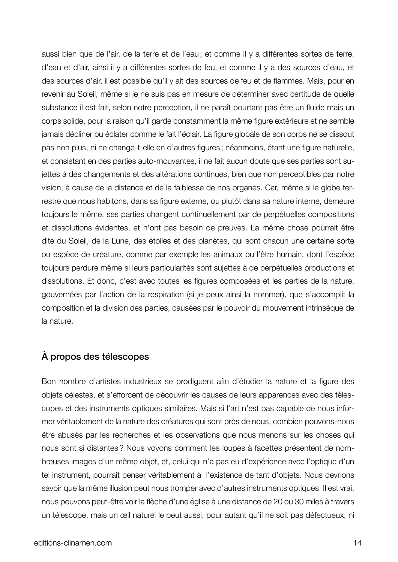aussi bien que de l'air, de la terre et de l'eau; et comme il y a différentes sortes de terre, d'eau et d'air, ainsi il y a différentes sortes de feu, et comme il y a des sources d'eau, et des sources d'air, il est possible qu'il y ait des sources de feu et de flammes. Mais, pour en revenir au Soleil, même si je ne suis pas en mesure de déterminer avec certitude de quelle substance il est fait, selon notre perception, il ne paraît pourtant pas être un fluide mais un corps solide, pour la raison qu'il garde constamment la même figure extérieure et ne semble jamais décliner ou éclater comme le fait l'éclair. La figure globale de son corps ne se dissout pas non plus, ni ne change-t-elle en d'autres figures ; néanmoins, étant une figure naturelle, et consistant en des parties auto-mouvantes, il ne fait aucun doute que ses parties sont sujettes à des changements et des altérations continues, bien que non perceptibles par notre vision, à cause de la distance et de la faiblesse de nos organes. Car, même si le globe terrestre que nous habitons, dans sa figure externe, ou plutôt dans sa nature interne, demeure toujours le même, ses parties changent continuellement par de perpétuelles compositions et dissolutions évidentes, et n'ont pas besoin de preuves. La même chose pourrait être dite du Soleil, de la Lune, des étoiles et des planètes, qui sont chacun une certaine sorte ou espèce de créature, comme par exemple les animaux ou l'être humain, dont l'espèce toujours perdure même si leurs particularités sont sujettes à de perpétuelles productions et dissolutions. Et donc, c'est avec toutes les figures composées et les parties de la nature, gouvernées par l'action de la respiration (si je peux ainsi la nommer), que s'accomplit la composition et la division des parties, causées par le pouvoir du mouvement intrinsèque de la nature.

#### À propos des télescopes

Bon nombre d'artistes industrieux se prodiguent afin d'étudier la nature et la figure des objets célestes, et s'efforcent de découvrir les causes de leurs apparences avec des télescopes et des instruments optiques similaires. Mais si l'art n'est pas capable de nous informer véritablement de la nature des créatures qui sont près de nous, combien pouvons-nous être abusés par les recherches et les observations que nous menons sur les choses qui nous sont si distantes? Nous voyons comment les loupes à facettes présentent de nombreuses images d'un même objet, et, celui qui n'a pas eu d'expérience avec l'optique d'un tel instrument, pourrait penser véritablement à l'existence de tant d'objets. Nous devrions savoir que la même illusion peut nous tromper avec d'autres instruments optiques. Il est vrai, nous pouvons peut-être voir la flèche d'une église à une distance de 20 ou 30 miles à travers un télescope, mais un œil naturel le peut aussi, pour autant qu'il ne soit pas défectueux, ni